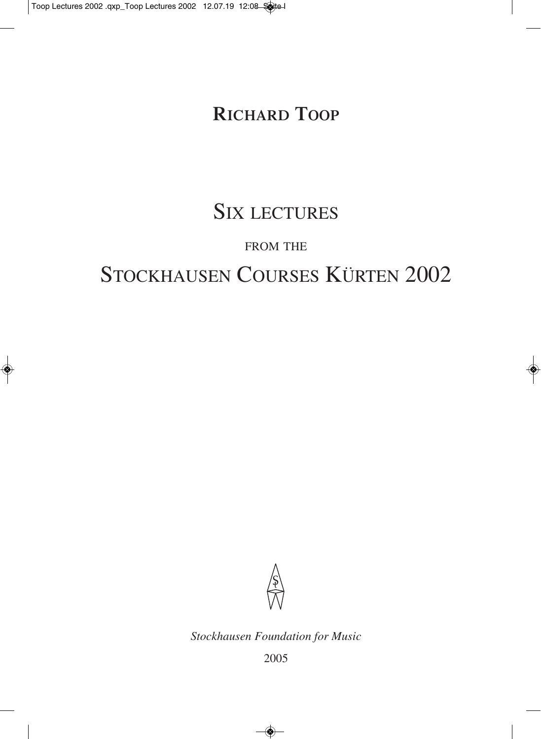## **RICHARD TOOP**

# SIX LECTURES

## FROM THE

# STOCKHAUSEN COURSES KÜRTEN 2002



*Stockhausen Foundation for Music*

2005

◈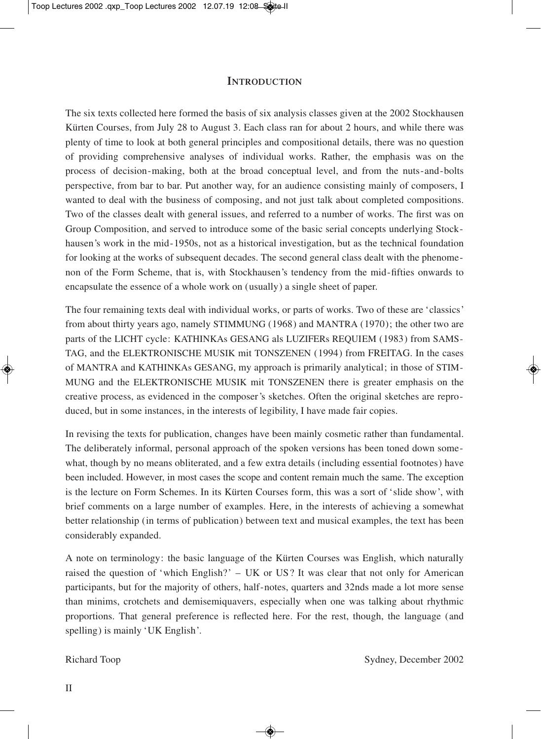#### **INTRODUCTION**

The six texts collected here formed the basis of six analysis classes given at the 2002 Stockhausen Kürten Courses, from July 28 to August 3. Each class ran for about 2 hours, and while there was plenty of time to look at both general principles and compositional details, there was no question of providing comprehensive analyses of individual works. Rather, the emphasis was on the process of decision-making, both at the broad conceptual level, and from the nuts-and-bolts perspective, from bar to bar. Put another way, for an audience consisting mainly of composers, I wanted to deal with the business of composing, and not just talk about completed compositions. Two of the classes dealt with general issues, and referred to a number of works. The first was on Group Composition, and served to introduce some of the basic serial concepts underlying Stockhausen's work in the mid-1950s, not as a historical investigation, but as the technical foundation for looking at the works of subsequent decades. The second general class dealt with the phenomenon of the Form Scheme, that is, with Stockhausen's tendency from the mid-fifties onwards to encapsulate the essence of a whole work on (usually) a single sheet of paper.

The four remaining texts deal with individual works, or parts of works. Two of these are 'classics' from about thirty years ago, namely STIMMUNG (1968) and MANTRA (1970); the other two are parts of the LICHT cycle: KATHINKAs GESANG als LUZIFERs REQUIEM (1983) from SAMS-TAG, and the ELEKTRONISCHE MUSIK mit TONSZENEN (1994) from FREITAG. In the cases of MANTRA and KATHINKAs GESANG, my approach is primarily analytical; in those of STIM-MUNG and the ELEKTRONISCHE MUSIK mit TONSZENEN there is greater emphasis on the creative process, as evidenced in the composer's sketches. Often the original sketches are reproduced, but in some instances, in the interests of legibility, I have made fair copies.

In revising the texts for publication, changes have been mainly cosmetic rather than fundamental. The deliberately informal, personal approach of the spoken versions has been toned down somewhat, though by no means obliterated, and a few extra details (including essential footnotes) have been included. However, in most cases the scope and content remain much the same. The exception is the lecture on Form Schemes. In its Kürten Courses form, this was a sort of 'slide show', with brief comments on a large number of examples. Here, in the interests of achieving a somewhat better relationship (in terms of publication) between text and musical examples, the text has been considerably expanded.

A note on terminology: the basic language of the Kürten Courses was English, which naturally raised the question of 'which English?' – UK or US? It was clear that not only for American participants, but for the majority of others, half-notes, quarters and 32nds made a lot more sense than minims, crotchets and demisemiquavers, especially when one was talking about rhythmic proportions. That general preference is reflected here. For the rest, though, the language (and spelling) is mainly 'UK English'.

◈

Richard Toop Sydney, December 2002